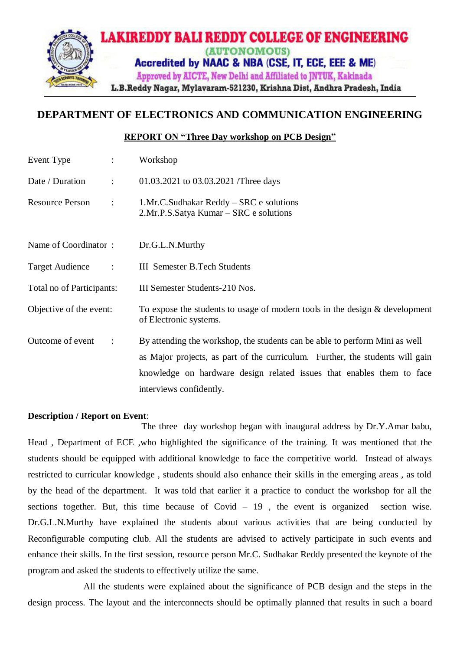

# **DEPARTMENT OF ELECTRONICS AND COMMUNICATION ENGINEERING**

### **REPORT ON "Three Day workshop on PCB Design"**

| Event Type<br>$\ddot{\phantom{a}}$             | Workshop                                                                                              |
|------------------------------------------------|-------------------------------------------------------------------------------------------------------|
| Date / Duration<br>$\ddot{\phantom{a}}$        | 01.03.2021 to 03.03.2021 /Three days                                                                  |
| <b>Resource Person</b><br>$\ddot{\phantom{0}}$ | 1.Mr.C.Sudhakar Reddy - SRC e solutions<br>2.Mr.P.S.Satya Kumar – SRC e solutions                     |
| Name of Coordinator:                           | Dr.G.L.N.Murthy                                                                                       |
| <b>Target Audience</b><br>$\ddot{\cdot}$       | <b>III</b> Semester B. Tech Students                                                                  |
| Total no of Participants:                      | III Semester Students-210 Nos.                                                                        |
| Objective of the event:                        | To expose the students to usage of modern tools in the design & development<br>of Electronic systems. |
| Outcome of event<br>$\ddot{\cdot}$             | By attending the workshop, the students can be able to perform Mini as well                           |
|                                                | as Major projects, as part of the curriculum. Further, the students will gain                         |
|                                                | knowledge on hardware design related issues that enables them to face                                 |
|                                                | interviews confidently.                                                                               |

#### **Description / Report on Event**:

The three day workshop began with inaugural address by Dr.Y.Amar babu, Head , Department of ECE ,who highlighted the significance of the training. It was mentioned that the students should be equipped with additional knowledge to face the competitive world. Instead of always restricted to curricular knowledge , students should also enhance their skills in the emerging areas , as told by the head of the department. It was told that earlier it a practice to conduct the workshop for all the sections together. But, this time because of Covid – 19 , the event is organized section wise. Dr.G.L.N.Murthy have explained the students about various activities that are being conducted by Reconfigurable computing club. All the students are advised to actively participate in such events and enhance their skills. In the first session, resource person Mr.C. Sudhakar Reddy presented the keynote of the program and asked the students to effectively utilize the same.

All the students were explained about the significance of PCB design and the steps in the design process. The layout and the interconnects should be optimally planned that results in such a board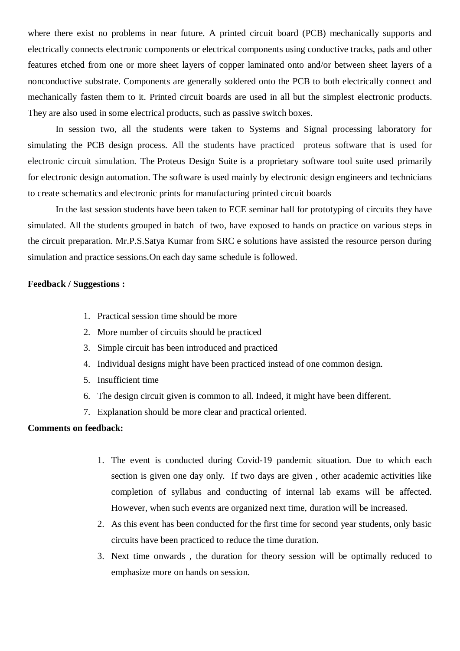where there exist no problems in near future. A printed circuit board (PCB) mechanically supports and electrically connects electronic components or electrical components using conductive tracks, pads and other features etched from one or more sheet layers of copper laminated onto and/or between sheet layers of a nonconductive substrate. Components are generally soldered onto the PCB to both electrically connect and mechanically fasten them to it. Printed circuit boards are used in all but the simplest electronic products. They are also used in some electrical products, such as passive switch boxes.

In session two, all the students were taken to Systems and Signal processing laboratory for simulating the PCB design process. All the students have practiced proteus software that is used for electronic circuit simulation. The Proteus Design Suite is a proprietary software tool suite used primarily for [electronic design automation.](https://en.wikipedia.org/wiki/Electronic_design_automation) The software is used mainly by electronic [design engineers](https://en.wikipedia.org/wiki/Design_engineer) and technicians to create [schematics](https://en.wikipedia.org/wiki/Schematic) and electronic prints for manufacturing [printed circuit boards](https://en.wikipedia.org/wiki/Printed_circuit_board)

In the last session students have been taken to ECE seminar hall for prototyping of circuits they have simulated. All the students grouped in batch of two, have exposed to hands on practice on various steps in the circuit preparation. Mr.P.S.Satya Kumar from SRC e solutions have assisted the resource person during simulation and practice sessions.On each day same schedule is followed.

#### **Feedback / Suggestions :**

- 1. Practical session time should be more
- 2. More number of circuits should be practiced
- 3. Simple circuit has been introduced and practiced
- 4. Individual designs might have been practiced instead of one common design.
- 5. Insufficient time
- 6. The design circuit given is common to all. Indeed, it might have been different.
- 7. Explanation should be more clear and practical oriented.

#### **Comments on feedback:**

- 1. The event is conducted during Covid-19 pandemic situation. Due to which each section is given one day only. If two days are given , other academic activities like completion of syllabus and conducting of internal lab exams will be affected. However, when such events are organized next time, duration will be increased.
- 2. As this event has been conducted for the first time for second year students, only basic circuits have been practiced to reduce the time duration.
- 3. Next time onwards , the duration for theory session will be optimally reduced to emphasize more on hands on session.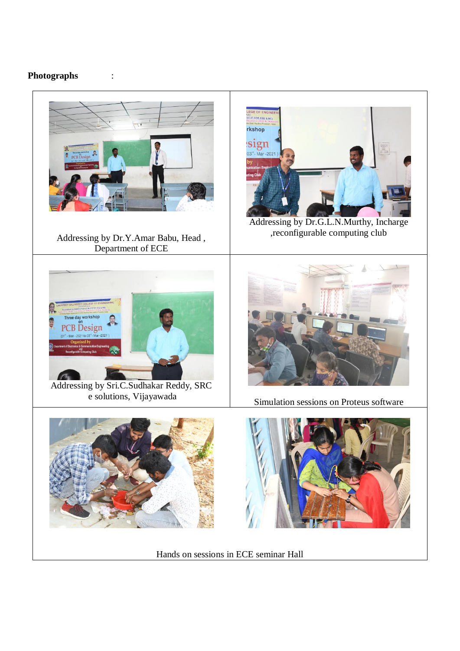## **Photographs** :



Hands on sessions in ECE seminar Hall